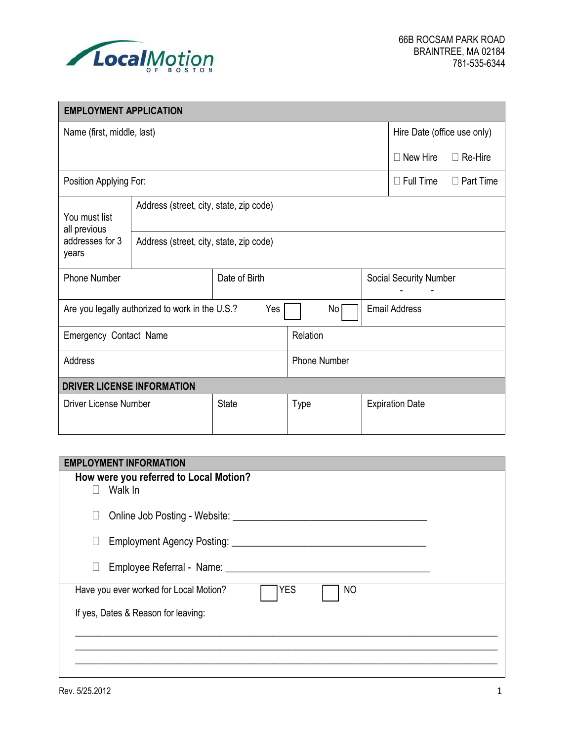

| <b>EMPLOYMENT APPLICATION</b>                          |                                         |               |                     |                             |                        |  |
|--------------------------------------------------------|-----------------------------------------|---------------|---------------------|-----------------------------|------------------------|--|
| Name (first, middle, last)                             |                                         |               |                     | Hire Date (office use only) |                        |  |
|                                                        |                                         |               |                     | $\Box$ New Hire             | $\Box$ Re-Hire         |  |
| Position Applying For:                                 |                                         |               | $\Box$ Full Time    | $\Box$ Part Time            |                        |  |
| You must list<br>all previous                          | Address (street, city, state, zip code) |               |                     |                             |                        |  |
| addresses for 3<br>years                               | Address (street, city, state, zip code) |               |                     |                             |                        |  |
| <b>Phone Number</b>                                    |                                         | Date of Birth |                     | Social Security Number      |                        |  |
| Yes<br>Are you legally authorized to work in the U.S.? |                                         |               | No                  | <b>Email Address</b>        |                        |  |
| Emergency Contact Name                                 |                                         |               | Relation            |                             |                        |  |
| Address                                                |                                         |               | <b>Phone Number</b> |                             |                        |  |
| <b>DRIVER LICENSE INFORMATION</b>                      |                                         |               |                     |                             |                        |  |
| <b>Driver License Number</b>                           |                                         | <b>State</b>  | Type                |                             | <b>Expiration Date</b> |  |

| <b>EMPLOYMENT INFORMATION</b>                                                                                                                                                                                                            |  |
|------------------------------------------------------------------------------------------------------------------------------------------------------------------------------------------------------------------------------------------|--|
| How were you referred to Local Motion?<br>Walk In<br>$\Box$                                                                                                                                                                              |  |
| Online Job Posting - Website: Next State of the State of the State of the State of the State of the State of the State of the State of the State of the State of the State of the State of the State of the State of the State<br>$\Box$ |  |
| $\Box$                                                                                                                                                                                                                                   |  |
| Employee Referral - Name: Name: Name: Name: Name: Name: Name: Name: Name: Name: Name: Name: Name: Name: Name: Name: Name: Name: Name: Name: Name: Name: Name: Name: Name: Name: Name: Name: Name: Name: Name: Name: Name: Name<br>$\Box$ |  |
| <b>YES</b><br>Have you ever worked for Local Motion?<br>NO                                                                                                                                                                               |  |
| If yes, Dates & Reason for leaving:                                                                                                                                                                                                      |  |
|                                                                                                                                                                                                                                          |  |
|                                                                                                                                                                                                                                          |  |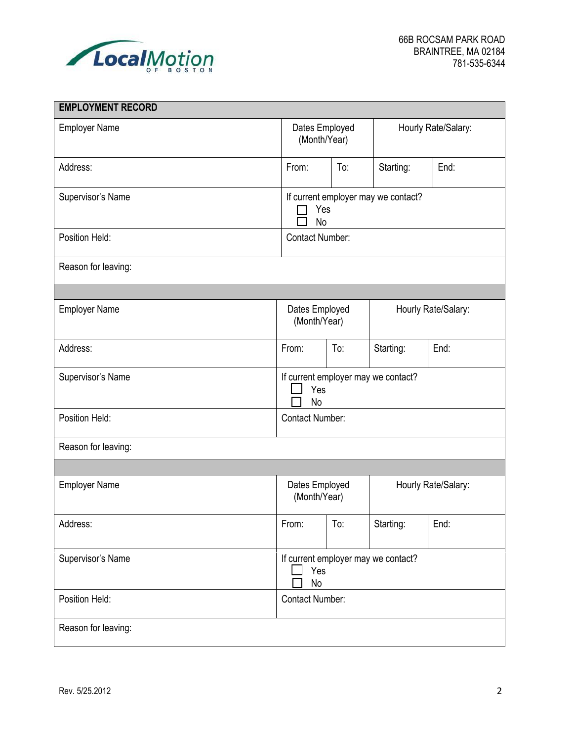

| <b>EMPLOYMENT RECORD</b> |                                                         |                                |           |                     |  |  |
|--------------------------|---------------------------------------------------------|--------------------------------|-----------|---------------------|--|--|
| <b>Employer Name</b>     | Dates Employed<br>(Month/Year)                          |                                |           | Hourly Rate/Salary: |  |  |
| Address:                 | From:                                                   | To:                            | Starting: | End:                |  |  |
| Supervisor's Name        | If current employer may we contact?<br>Yes<br><b>No</b> |                                |           |                     |  |  |
| Position Held:           | <b>Contact Number:</b>                                  |                                |           |                     |  |  |
| Reason for leaving:      |                                                         |                                |           |                     |  |  |
|                          |                                                         |                                |           |                     |  |  |
| <b>Employer Name</b>     |                                                         | Dates Employed<br>(Month/Year) |           | Hourly Rate/Salary: |  |  |
| Address:                 | From:                                                   | To:                            | Starting: | End:                |  |  |
| Supervisor's Name        | If current employer may we contact?<br>Yes<br><b>No</b> |                                |           |                     |  |  |
| Position Held:           | <b>Contact Number:</b>                                  |                                |           |                     |  |  |
| Reason for leaving:      |                                                         |                                |           |                     |  |  |
|                          |                                                         |                                |           |                     |  |  |
| <b>Employer Name</b>     | Dates Employed<br>Hourly Rate/Salary:<br>(Month/Year)   |                                |           |                     |  |  |
| Address:                 | From:                                                   | To:                            | Starting: | End:                |  |  |
| Supervisor's Name        | If current employer may we contact?<br>Yes<br>No        |                                |           |                     |  |  |
| Position Held:           | Contact Number:                                         |                                |           |                     |  |  |
| Reason for leaving:      |                                                         |                                |           |                     |  |  |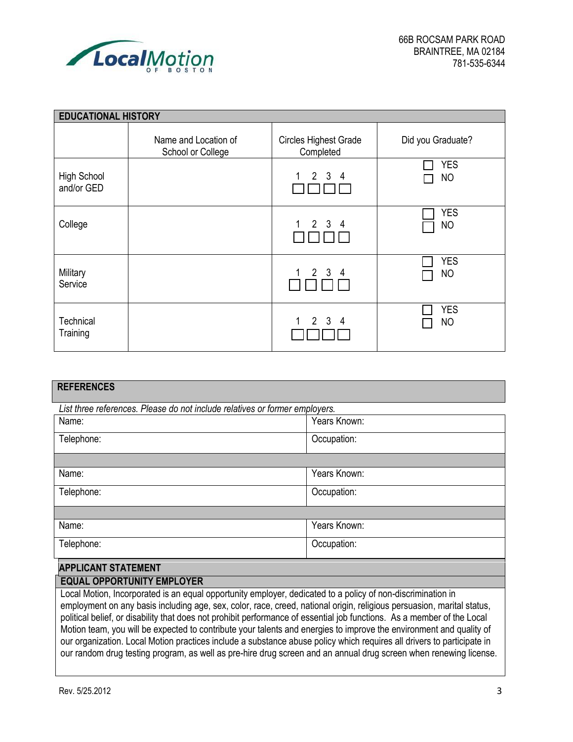

| <b>EDUCATIONAL HISTORY</b>       |                                           |                                           |                         |  |  |
|----------------------------------|-------------------------------------------|-------------------------------------------|-------------------------|--|--|
|                                  | Name and Location of<br>School or College | <b>Circles Highest Grade</b><br>Completed | Did you Graduate?       |  |  |
| <b>High School</b><br>and/or GED |                                           | $1 \quad 2 \quad 3 \quad 4$               | <b>YES</b><br><b>NO</b> |  |  |
| College                          |                                           | $1 \quad 2 \quad 3 \quad 4$               | <b>YES</b><br><b>NO</b> |  |  |
| Military<br>Service              |                                           | $1 \quad 2 \quad 3 \quad 4$               | <b>YES</b><br><b>NO</b> |  |  |
| Technical<br>Training            |                                           | 2 3 4<br>1                                | <b>YES</b><br><b>NO</b> |  |  |

| <b>REFERENCES</b>                                                                                           |              |  |  |  |
|-------------------------------------------------------------------------------------------------------------|--------------|--|--|--|
|                                                                                                             |              |  |  |  |
| List three references. Please do not include relatives or former employers.                                 |              |  |  |  |
| Name:                                                                                                       | Years Known: |  |  |  |
| Telephone:                                                                                                  | Occupation:  |  |  |  |
|                                                                                                             |              |  |  |  |
| Name:                                                                                                       | Years Known: |  |  |  |
| Telephone:                                                                                                  | Occupation:  |  |  |  |
|                                                                                                             |              |  |  |  |
| Name:                                                                                                       | Years Known: |  |  |  |
| Telephone:                                                                                                  | Occupation:  |  |  |  |
| <b>APPLICANT STATEMENT</b>                                                                                  |              |  |  |  |
| <b>EQUAL OPPORTUNITY EMPLOYER</b>                                                                           |              |  |  |  |
| Local Motion, Incorporated is an equal opportunity employer, dedicated to a policy of non-discrimination in |              |  |  |  |

employment on any basis including age, sex, color, race, creed, national origin, religious persuasion, marital status, political belief, or disability that does not prohibit performance of essential job functions. As a member of the Local Motion team, you will be expected to contribute your talents and energies to improve the environment and quality of our organization. Local Motion practices include a substance abuse policy which requires all drivers to participate in our random drug testing program, as well as pre-hire drug screen and an annual drug screen when renewing license.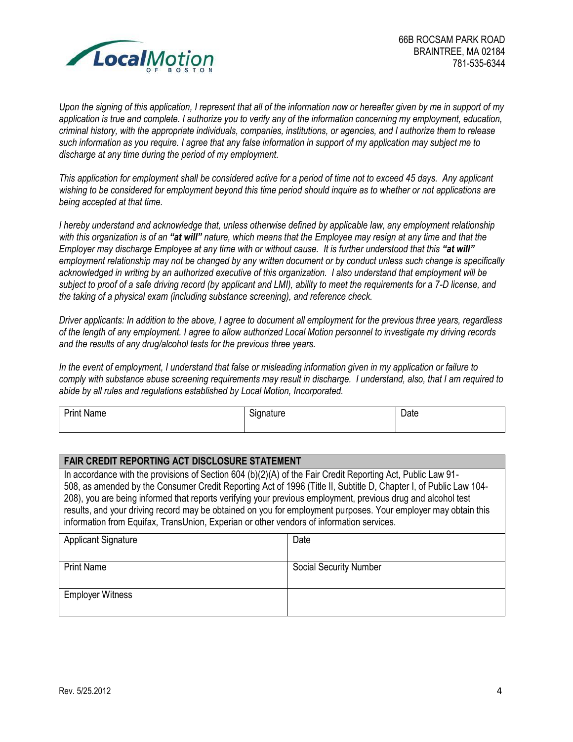

*Upon the signing of this application, I represent that all of the information now or hereafter given by me in support of my application is true and complete. I authorize you to verify any of the information concerning my employment, education, criminal history, with the appropriate individuals, companies, institutions, or agencies, and I authorize them to release such information as you require. I agree that any false information in support of my application may subject me to discharge at any time during the period of my employment.* 

*This application for employment shall be considered active for a period of time not to exceed 45 days. Any applicant wishing to be considered for employment beyond this time period should inquire as to whether or not applications are being accepted at that time.* 

*I hereby understand and acknowledge that, unless otherwise defined by applicable law, any employment relationship with this organization is of an "at will" nature, which means that the Employee may resign at any time and that the Employer may discharge Employee at any time with or without cause. It is further understood that this "at will" employment relationship may not be changed by any written document or by conduct unless such change is specifically acknowledged in writing by an authorized executive of this organization. I also understand that employment will be subject to proof of a safe driving record (by applicant and LMI), ability to meet the requirements for a 7-D license, and the taking of a physical exam (including substance screening), and reference check.* 

*Driver applicants: In addition to the above, I agree to document all employment for the previous three years, regardless of the length of any employment. I agree to allow authorized Local Motion personnel to investigate my driving records and the results of any drug/alcohol tests for the previous three years.*

*In the event of employment, I understand that false or misleading information given in my application or failure to comply with substance abuse screening requirements may result in discharge. I understand, also, that I am required to abide by all rules and regulations established by Local Motion, Incorporated.* 

| . .<br>Print<br>Name | $\sim$<br>Signature | Date |
|----------------------|---------------------|------|
|                      |                     |      |

## **FAIR CREDIT REPORTING ACT DISCLOSURE STATEMENT** In accordance with the provisions of Section 604 (b)(2)(A) of the Fair Credit Reporting Act, Public Law 91- 508, as amended by the Consumer Credit Reporting Act of 1996 (Title II, Subtitle D, Chapter I, of Public Law 104- 208), you are being informed that reports verifying your previous employment, previous drug and alcohol test results, and your driving record may be obtained on you for employment purposes. Your employer may obtain this information from Equifax, TransUnion, Experian or other vendors of information services.

| <b>Applicant Signature</b> | Date                          |
|----------------------------|-------------------------------|
| <b>Print Name</b>          | <b>Social Security Number</b> |
| <b>Employer Witness</b>    |                               |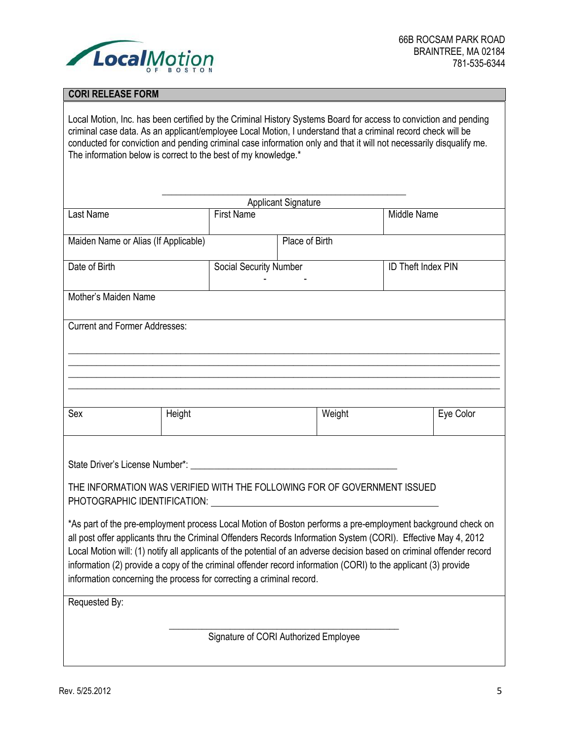

## **CORI RELEASE FORM**

Local Motion, Inc. has been certified by the Criminal History Systems Board for access to conviction and pending criminal case data. As an applicant/employee Local Motion, I understand that a criminal record check will be conducted for conviction and pending criminal case information only and that it will not necessarily disqualify me. The information below is correct to the best of my knowledge.\*

| <b>Applicant Signature</b>                                                                                                                                                                                                                                                                                                                                                                                                         |                                       |                        |        |                           |           |
|------------------------------------------------------------------------------------------------------------------------------------------------------------------------------------------------------------------------------------------------------------------------------------------------------------------------------------------------------------------------------------------------------------------------------------|---------------------------------------|------------------------|--------|---------------------------|-----------|
| Last Name                                                                                                                                                                                                                                                                                                                                                                                                                          |                                       | <b>First Name</b>      |        | Middle Name               |           |
| Maiden Name or Alias (If Applicable)                                                                                                                                                                                                                                                                                                                                                                                               |                                       | Place of Birth         |        |                           |           |
| Date of Birth                                                                                                                                                                                                                                                                                                                                                                                                                      |                                       | Social Security Number |        | <b>ID Theft Index PIN</b> |           |
| Mother's Maiden Name                                                                                                                                                                                                                                                                                                                                                                                                               |                                       |                        |        |                           |           |
| <b>Current and Former Addresses:</b>                                                                                                                                                                                                                                                                                                                                                                                               |                                       |                        |        |                           |           |
| Sex                                                                                                                                                                                                                                                                                                                                                                                                                                | Height                                |                        | Weight |                           | Eye Color |
| State Driver's License Number*: University of the University of State Driver's License Number*:<br>THE INFORMATION WAS VERIFIED WITH THE FOLLOWING FOR OF GOVERNMENT ISSUED<br>PHOTOGRAPHIC IDENTIFICATION: THE STATE OF STATE STATES IN THE STATE OF STATES.<br>*As part of the pre-employment process Local Motion of Boston performs a pre-employment background check on                                                       |                                       |                        |        |                           |           |
| all post offer applicants thru the Criminal Offenders Records Information System (CORI). Effective May 4, 2012<br>Local Motion will: (1) notify all applicants of the potential of an adverse decision based on criminal offender record<br>information (2) provide a copy of the criminal offender record information (CORI) to the applicant (3) provide<br>information concerning the process for correcting a criminal record. |                                       |                        |        |                           |           |
| Requested By:                                                                                                                                                                                                                                                                                                                                                                                                                      |                                       |                        |        |                           |           |
|                                                                                                                                                                                                                                                                                                                                                                                                                                    | Signature of CORI Authorized Employee |                        |        |                           |           |